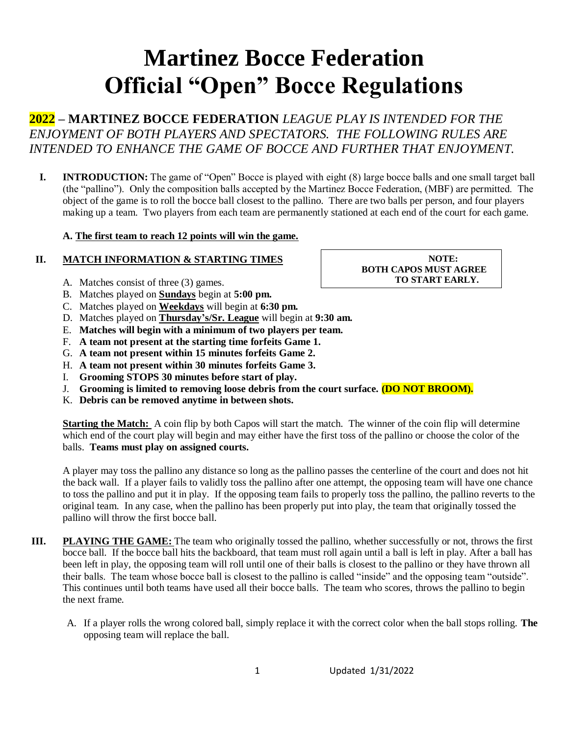# **Martinez Bocce Federation Official "Open" Bocce Regulations**

**2022 – MARTINEZ BOCCE FEDERATION** *LEAGUE PLAY IS INTENDED FOR THE ENJOYMENT OF BOTH PLAYERS AND SPECTATORS. THE FOLLOWING RULES ARE INTENDED TO ENHANCE THE GAME OF BOCCE AND FURTHER THAT ENJOYMENT.*

**I. INTRODUCTION:** The game of "Open" Bocce is played with eight (8) large bocce balls and one small target ball (the "pallino"). Only the composition balls accepted by the Martinez Bocce Federation, (MBF) are permitted. The object of the game is to roll the bocce ball closest to the pallino. There are two balls per person, and four players making up a team. Two players from each team are permanently stationed at each end of the court for each game.

### **A. The first team to reach 12 points will win the game.**

## **II. MATCH INFORMATION & STARTING TIMES**

- A. Matches consist of three (3) games.
- B. Matches played on **Sundays** begin at **5:00 pm.**
- C. Matches played on **Weekdays** will begin at **6:30 pm.**
- D. Matches played on **Thursday's/Sr. League** will begin at **9:30 am.**
- E. **Matches will begin with a minimum of two players per team.**
- F. **A team not present at the starting time forfeits Game 1.**
- G. **A team not present within 15 minutes forfeits Game 2.**
- H. **A team not present within 30 minutes forfeits Game 3.**
- I. **Grooming STOPS 30 minutes before start of play.**
- J. **Grooming is limited to removing loose debris from the court surface. (DO NOT BROOM).**
- K. **Debris can be removed anytime in between shots.**

**Starting the Match:** A coin flip by both Capos will start the match. The winner of the coin flip will determine which end of the court play will begin and may either have the first toss of the pallino or choose the color of the balls. **Teams must play on assigned courts.**

A player may toss the pallino any distance so long as the pallino passes the centerline of the court and does not hit the back wall. If a player fails to validly toss the pallino after one attempt, the opposing team will have one chance to toss the pallino and put it in play. If the opposing team fails to properly toss the pallino, the pallino reverts to the original team. In any case, when the pallino has been properly put into play, the team that originally tossed the pallino will throw the first bocce ball.

- **III. PLAYING THE GAME:** The team who originally tossed the pallino, whether successfully or not, throws the first bocce ball. If the bocce ball hits the backboard, that team must roll again until a ball is left in play. After a ball has been left in play, the opposing team will roll until one of their balls is closest to the pallino or they have thrown all their balls. The team whose bocce ball is closest to the pallino is called "inside" and the opposing team "outside". This continues until both teams have used all their bocce balls. The team who scores, throws the pallino to begin the next frame.
	- A. If a player rolls the wrong colored ball, simply replace it with the correct color when the ball stops rolling. **The**  opposing team will replace the ball.

**NOTE: BOTH CAPOS MUST AGREE TO START EARLY.**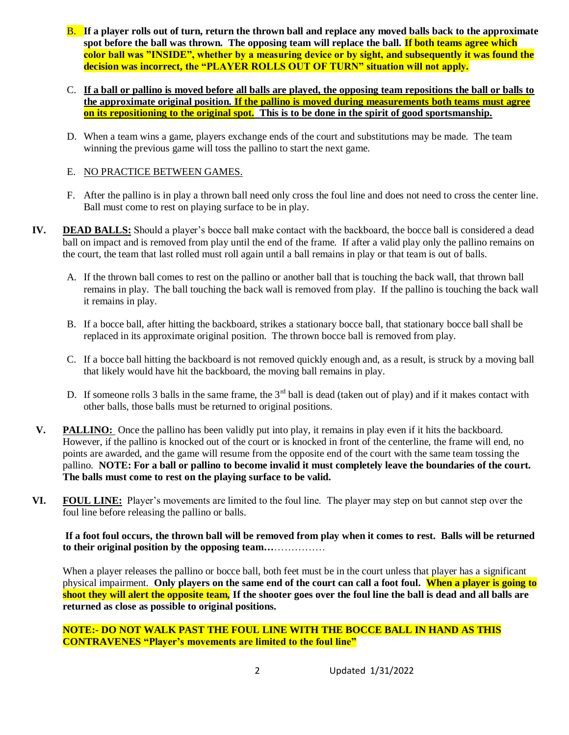- B. **If a player rolls out of turn, return the thrown ball and replace any moved balls back to the approximate spot before the ball was thrown. The opposing team will replace the ball. If both teams agree which color ball was "INSIDE", whether by a measuring device or by sight, and subsequently it was found the decision was incorrect, the "PLAYER ROLLS OUT OF TURN" situation will not apply.**
- C. **If a ball or pallino is moved before all balls are played, the opposing team repositions the ball or balls to the approximate original position. If the pallino is moved during measurements both teams must agree on its repositioning to the original spot. This is to be done in the spirit of good sportsmanship.**
- D. When a team wins a game, players exchange ends of the court and substitutions may be made. The team winning the previous game will toss the pallino to start the next game.

## E. NO PRACTICE BETWEEN GAMES.

- F. After the pallino is in play a thrown ball need only cross the foul line and does not need to cross the center line. Ball must come to rest on playing surface to be in play.
- **IV. DEAD BALLS:** Should a player's bocce ball make contact with the backboard, the bocce ball is considered a dead ball on impact and is removed from play until the end of the frame. If after a valid play only the pallino remains on the court, the team that last rolled must roll again until a ball remains in play or that team is out of balls.
	- A. If the thrown ball comes to rest on the pallino or another ball that is touching the back wall, that thrown ball remains in play. The ball touching the back wall is removed from play. If the pallino is touching the back wall it remains in play.
	- B. If a bocce ball, after hitting the backboard, strikes a stationary bocce ball, that stationary bocce ball shall be replaced in its approximate original position. The thrown bocce ball is removed from play.
	- C. If a bocce ball hitting the backboard is not removed quickly enough and, as a result, is struck by a moving ball that likely would have hit the backboard, the moving ball remains in play*.*
	- D. If someone rolls 3 balls in the same frame, the  $3<sup>rd</sup>$  ball is dead (taken out of play) and if it makes contact with other balls, those balls must be returned to original positions.
- **V. PALLINO:** Once the pallino has been validly put into play, it remains in play even if it hits the backboard. However, if the pallino is knocked out of the court or is knocked in front of the centerline, the frame will end, no points are awarded, and the game will resume from the opposite end of the court with the same team tossing the pallino. **NOTE: For a ball or pallino to become invalid it must completely leave the boundaries of the court. The balls must come to rest on the playing surface to be valid.**
- **VI. FOUL LINE:** Player's movements are limited to the foul line. The player may step on but cannot step over the foul line before releasing the pallino or balls.

**If a foot foul occurs, the thrown ball will be removed from play when it comes to rest. Balls will be returned to their original position by the opposing team…**……………

When a player releases the pallino or bocce ball, both feet must be in the court unless that player has a significant physical impairment. **Only players on the same end of the court can call a foot foul. When a player is going to shoot they will alert the opposite team, If the shooter goes over the foul line the ball is dead and all balls are returned as close as possible to original positions.**

**NOTE:- DO NOT WALK PAST THE FOUL LINE WITH THE BOCCE BALL IN HAND AS THIS CONTRAVENES "Player's movements are limited to the foul line"**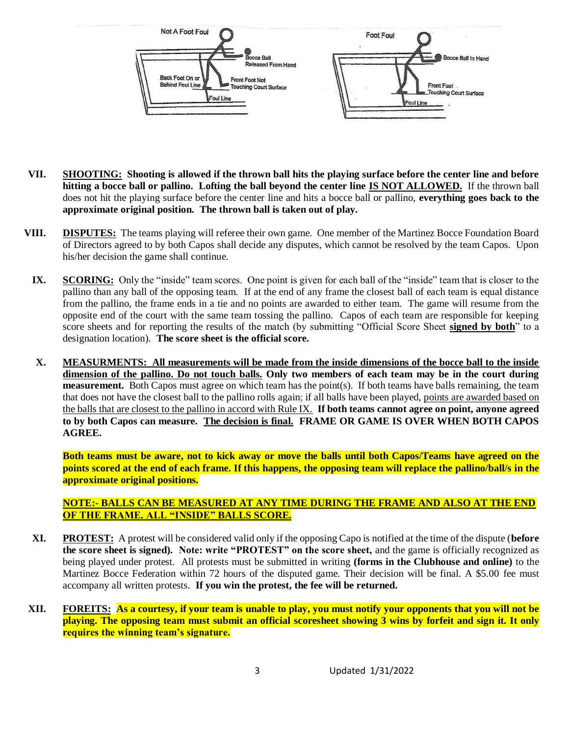

- **VII. SHOOTING: Shooting is allowed if the thrown ball hits the playing surface before the center line and before hitting a bocce ball or pallino. Lofting the ball beyond the center line IS NOT ALLOWED.** If the thrown ball does not hit the playing surface before the center line and hits a bocce ball or pallino, **everything goes back to the approximate original position. The thrown ball is taken out of play.**
- **VIII. DISPUTES:** The teams playing will referee their own game. One member of the Martinez Bocce Foundation Board of Directors agreed to by both Capos shall decide any disputes, which cannot be resolved by the team Capos. Upon his/her decision the game shall continue.
	- **IX. SCORING:** Only the "inside" team scores. One point is given for each ball of the "inside" team that is closer to the pallino than any ball of the opposing team. If at the end of any frame the closest ball of each team is equal distance from the pallino, the frame ends in a tie and no points are awarded to either team. The game will resume from the opposite end of the court with the same team tossing the pallino. Capos of each team are responsible for keeping score sheets and for reporting the results of the match (by submitting "Official Score Sheet **signed by both**" to a designation location). **The score sheet is the official score.**
	- **X. MEASURMENTS: All measurements will be made from the inside dimensions of the bocce ball to the inside dimension of the pallino. Do not touch balls. Only two members of each team may be in the court during measurement.** Both Capos must agree on which team has the point(s). If both teams have balls remaining, the team that does not have the closest ball to the pallino rolls again; if all balls have been played, points are awarded based on the balls that are closest to the pallino in accord with Rule IX. **If both teams cannot agree on point, anyone agreed to by both Capos can measure. The decision is final. FRAME OR GAME IS OVER WHEN BOTH CAPOS AGREE.**

**Both teams must be aware, not to kick away or move the balls until both Capos/Teams have agreed on the points scored at the end of each frame. If this happens, the opposing team will replace the pallino/ball/s in the approximate original positions.**

## **NOTE:- BALLS CAN BE MEASURED AT ANY TIME DURING THE FRAME AND ALSO AT THE END OF THE FRAME. ALL "INSIDE" BALLS SCORE.**

- **XI. PROTEST:** A protest will be considered valid only if the opposing Capo is notified at the time of the dispute (**before the score sheet is signed). Note: write "PROTEST" on the score sheet,** and the game is officially recognized as being played under protest. All protests must be submitted in writing **(forms in the Clubhouse and online)** to the Martinez Bocce Federation within 72 hours of the disputed game. Their decision will be final. A \$5.00 fee must accompany all written protests. **If you win the protest, the fee will be returned.**
- **XII. FOREITS: As a courtesy, if your team is unable to play, you must notify your opponents that you will not be playing. The opposing team must submit an official scoresheet showing 3 wins by forfeit and sign it. It only requires the winning team's signature.**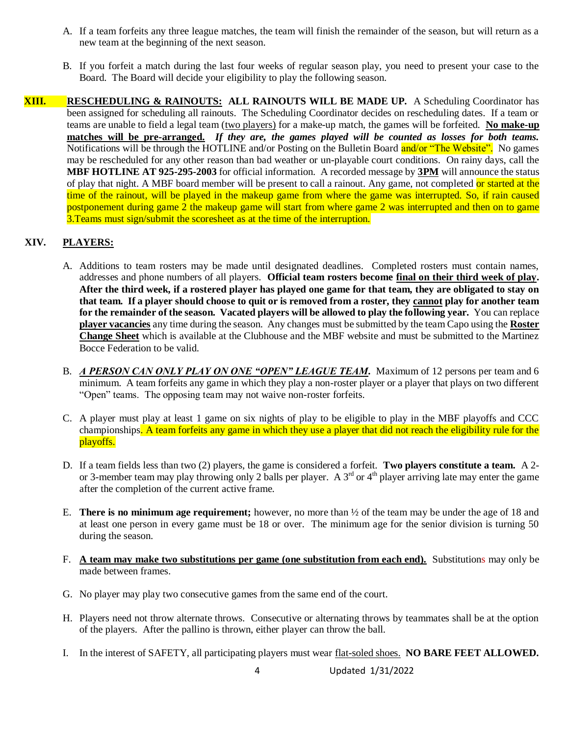- A. If a team forfeits any three league matches, the team will finish the remainder of the season, but will return as a new team at the beginning of the next season.
- B. If you forfeit a match during the last four weeks of regular season play, you need to present your case to the Board. The Board will decide your eligibility to play the following season.
- **XIII. RESCHEDULING & RAINOUTS: ALL RAINOUTS WILL BE MADE UP.** A Scheduling Coordinator has been assigned for scheduling all rainouts. The Scheduling Coordinator decides on rescheduling dates. If a team or teams are unable to field a legal team (two players) for a make-up match, the games will be forfeited. **No make-up matches will be pre-arranged.** *If they are, the games played will be counted as losses for both teams.*  Notifications will be through the HOTLINE and/or Posting on the Bulletin Board and/or "The Website". No games may be rescheduled for any other reason than bad weather or un-playable court conditions. On rainy days, call the **MBF HOTLINE AT 925-295-2003** for official information. A recorded message by **3PM** will announce the status of play that night. A MBF board member will be present to call a rainout. Any game, not completed or started at the time of the rainout, will be played in the makeup game from where the game was interrupted. So, if rain caused postponement during game 2 the makeup game will start from where game 2 was interrupted and then on to game 3.Teams must sign/submit the scoresheet as at the time of the interruption.

# **XIV. PLAYERS:**

- A. Additions to team rosters may be made until designated deadlines. Completed rosters must contain names, addresses and phone numbers of all players. **Official team rosters become final on their third week of play. After the third week, if a rostered player has played one game for that team, they are obligated to stay on that team. If a player should choose to quit or is removed from a roster, they cannot play for another team for the remainder of the season. Vacated players will be allowed to play the following year.** You can replace **player vacancies** any time during the season. Any changes must be submitted by the team Capo using the **Roster Change Sheet** which is available at the Clubhouse and the MBF website and must be submitted to the Martinez Bocce Federation to be valid.
- B. *A PERSON CAN ONLY PLAY ON ONE "OPEN" LEAGUE TEAM*. Maximum of 12 persons per team and 6 minimum. A team forfeits any game in which they play a non-roster player or a player that plays on two different "Open" teams. The opposing team may not waive non-roster forfeits.
- C. A player must play at least 1 game on six nights of play to be eligible to play in the MBF playoffs and CCC championships. A team forfeits any game in which they use a player that did not reach the eligibility rule for the playoffs.
- D. If a team fields less than two (2) players, the game is considered a forfeit. **Two players constitute a team.** A 2 or 3-member team may play throwing only 2 balls per player. A  $3<sup>rd</sup>$  or  $4<sup>th</sup>$  player arriving late may enter the game after the completion of the current active frame.
- E. **There is no minimum age requirement;** however, no more than ½ of the team may be under the age of 18 and at least one person in every game must be 18 or over. The minimum age for the senior division is turning 50 during the season.
- F. **A team may make two substitutions per game (one substitution from each end).** Substitutions may only be made between frames.
- G. No player may play two consecutive games from the same end of the court.
- H. Players need not throw alternate throws. Consecutive or alternating throws by teammates shall be at the option of the players. After the pallino is thrown, either player can throw the ball.
- I. In the interest of SAFETY, all participating players must wear flat-soled shoes. **NO BARE FEET ALLOWED.**

4 Updated 1/31/2022